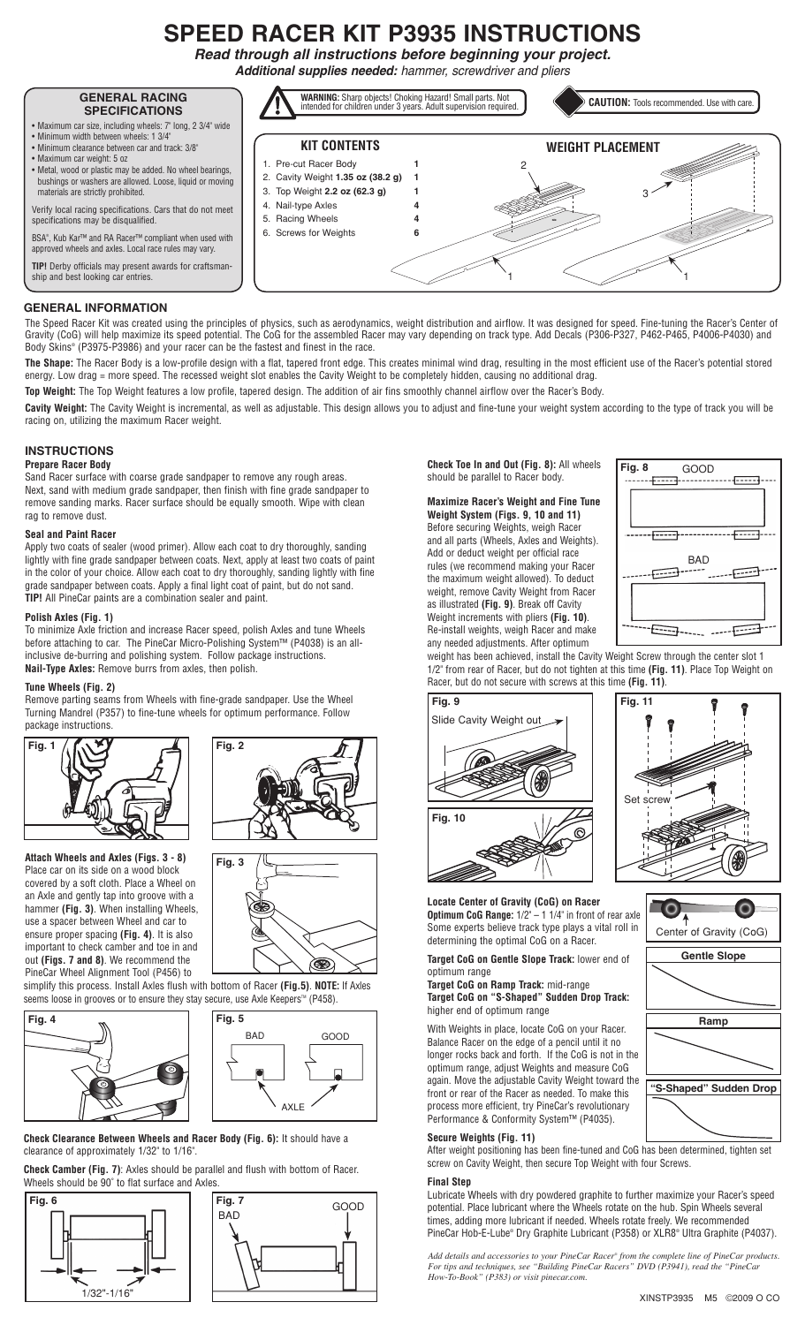# **SPEED RACER KIT P3935 INSTRUCTIONS**

*Read through all instructions before beginning your project. Additional supplies needed: hammer, screwdriver and pliers*



The Speed Racer Kit was created using the principles of physics, such as aerodynamics, weight distribution and airflow. It was designed for speed. Fine-tuning the Racer's Center of Gravity (CoG) will help maximize its speed potential. The CoG for the assembled Racer may vary depending on track type. Add Decals (P306-P327, P462-P465, P4006-P4030) and Body Skins® (P3975-P3986) and your racer can be the fastest and finest in the race.

**The Shape:** The Racer Body is a low-profile design with a flat, tapered front edge. This creates minimal wind drag, resulting in the most efficient use of the Racer's potential stored energy. Low drag = more speed. The recessed weight slot enables the Cavity Weight to be completely hidden, causing no additional drag.

**Top Weight:** The Top Weight features a low profile, tapered design. The addition of air fins smoothly channel airflow over the Racer's Body.

**Cavity Weight:** The Cavity Weight is incremental, as well as adjustable. This design allows you to adjust and fine-tune your weight system according to the type of track you will be racing on, utilizing the maximum Racer weight.

### **INSTRUCTIONS Prepare Racer Body**

Sand Racer surface with coarse grade sandpaper to remove any rough areas. Next, sand with medium grade sandpaper, then finish with fine grade sandpaper to remove sanding marks. Racer surface should be equally smooth. Wipe with clean rag to remove dust.

### **Seal and Paint Racer**

Apply two coats of sealer (wood primer). Allow each coat to dry thoroughly, sanding lightly with fine grade sandpaper between coats. Next, apply at least two coats of paint in the color of your choice. Allow each coat to dry thoroughly, sanding lightly with fine grade sandpaper between coats. Apply a final light coat of paint, but do not sand. **TIP!** All PineCar paints are a combination sealer and paint.

### **Polish Axles (Fig. 1)**

To minimize Axle friction and increase Racer speed, polish Axles and tune Wheels before attaching to car. The PineCar Micro-Polishing System™ (P4038) is an allinclusive de-burring and polishing system. Follow package instructions. **Nail-Type Axles:** Remove burrs from axles, then polish.

### **Tune Wheels (Fig. 2)**

Remove parting seams from Wheels with fine-grade sandpaper. Use the Wheel Turning Mandrel (P357) to fine-tune wheels for optimum performance. Follow package instructions.





# **Attach Wheels and Axles (Figs. 3 - 8)**

Place car on its side on a wood block covered by a soft cloth. Place a Wheel on an Axle and gently tap into groove with a hammer **(Fig. 3)**. When installing Wheels, use a spacer between Wheel and car to ensure proper spacing **(Fig. 4)**. It is also important to check camber and toe in and out **(Figs. 7 and 8)**. We recommend the PineCar Wheel Alignment Tool (P456) to

**Fig. 3** ❀

simplify this process. Install Axles flush with bottom of Racer **(Fig.5)**. **NOTE:** If Axles seems loose in grooves or to ensure they stay secure, use Axle Keepers<sup>M</sup> (P458).





**Check Clearance Between Wheels and Racer Body (Fig. 6):** It should have a clearance of approximately 1/32" to 1/16".

**Check Camber (Fig. 7)**: Axles should be parallel and flush with bottom of Racer. Wheels should be 90˚ to flat surface and Axles.





**Check Toe In and Out (Fig. 8):** All wheels should be parallel to Racer body.

**Maximize Racer's Weight and Fine Tune Weight System (Figs. 9, 10 and 11)** Before securing Weights, weigh Racer and all parts (Wheels, Axles and Weights). Add or deduct weight per official race rules (we recommend making your Racer the maximum weight allowed). To deduct weight, remove Cavity Weight from Racer as illustrated **(Fig. 9)**. Break off Cavity Weight increments with pliers **(Fig. 10)**. Re-install weights, weigh Racer and make any needed adjustments. After optimum



weight has been achieved, install the Cavity Weight Screw through the center slot 1 1/2" from rear of Racer, but do not tighten at this time **(Fig. 11)**. Place Top Weight on Racer, but do not secure with screws at this time **(Fig. 11)**.





Center of Gravity (CoG)

**Gentle Slope**

**"S-Shaped" Sudden Drop**

**Ramp**

### **Locate Center of Gravity (CoG) on Racer**

**Optimum CoG Range:**  $1/2$ <sup>"</sup> – 1  $1/4$ " in front of rear axle Some experts believe track type plays a vital roll in determining the optimal CoG on a Racer.

**Target CoG on Gentle Slope Track:** lower end of optimum range

**Target CoG on Ramp Track:** mid-range **Target CoG on "S-Shaped" Sudden Drop Track:**  higher end of optimum range

With Weights in place, locate CoG on your Racer. Balance Racer on the edge of a pencil until it no longer rocks back and forth. If the CoG is not in the optimum range, adjust Weights and measure CoG again. Move the adjustable Cavity Weight toward the front or rear of the Racer as needed. To make this process more efficient, try PineCar's revolutionary Performance & Conformity System™ (P4035).

### **Secure Weights (Fig. 11)**

After weight positioning has been fine-tuned and CoG has been determined, tighten set screw on Cavity Weight, then secure Top Weight with four Screws.

### **Final Step**

Lubricate Wheels with dry powdered graphite to further maximize your Racer's speed potential. Place lubricant where the Wheels rotate on the hub. Spin Wheels several times, adding more lubricant if needed. Wheels rotate freely. We recommended PineCar Hob-E-Lube<sup>®</sup> Dry Graphite Lubricant (P358) or XLR8<sup>®</sup> Ultra Graphite (P4037).

*Add details and accessories to your PineCar Racer® from the complete line of PineCar products. For tips and techniques, see "Building PineCar Racers" DVD (P3941), read the "PineCar How-To-Book" (P383) or visit pinecar.com.*